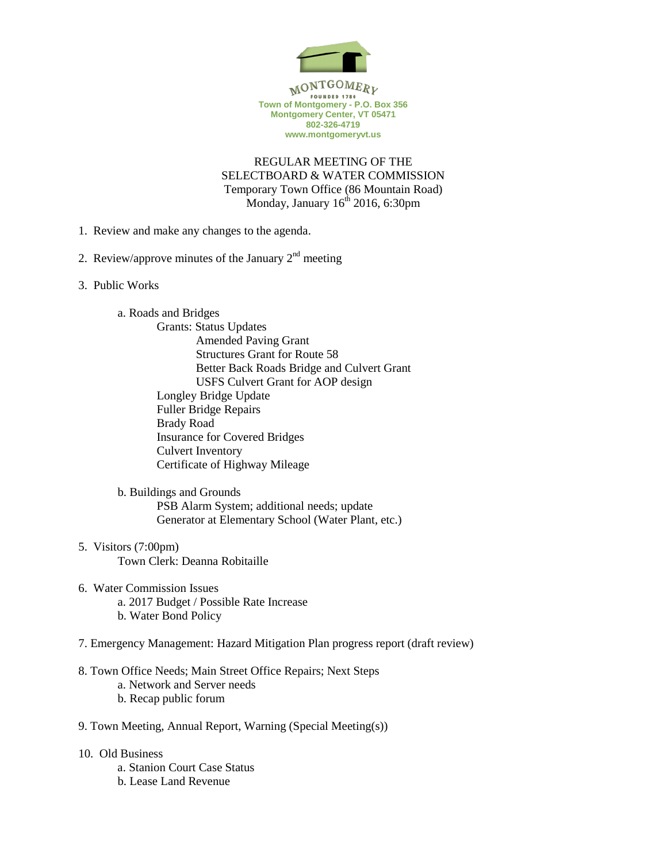

**Montgomery Center, VT 05471 802-326-4719 www.montgomeryvt.us**

REGULAR MEETING OF THE SELECTBOARD & WATER COMMISSION Temporary Town Office (86 Mountain Road) Monday, January  $16<sup>th</sup> 2016$ , 6:30pm

- 1. Review and make any changes to the agenda.
- 2. Review/approve minutes of the January  $2<sup>nd</sup>$  meeting
- 3. Public Works
	- a. Roads and Bridges
		- Grants: Status Updates Amended Paving Grant Structures Grant for Route 58 Better Back Roads Bridge and Culvert Grant USFS Culvert Grant for AOP design Longley Bridge Update Fuller Bridge Repairs Brady Road Insurance for Covered Bridges Culvert Inventory Certificate of Highway Mileage

b. Buildings and Grounds PSB Alarm System; additional needs; update Generator at Elementary School (Water Plant, etc.)

- 5. Visitors (7:00pm) Town Clerk: Deanna Robitaille
- 6. Water Commission Issues a. 2017 Budget / Possible Rate Increase b. Water Bond Policy
- 7. Emergency Management: Hazard Mitigation Plan progress report (draft review)
- 8. Town Office Needs; Main Street Office Repairs; Next Steps
	- a. Network and Server needs
	- b. Recap public forum
- 9. Town Meeting, Annual Report, Warning (Special Meeting(s))
- 10. Old Business a. Stanion Court Case Status b. Lease Land Revenue